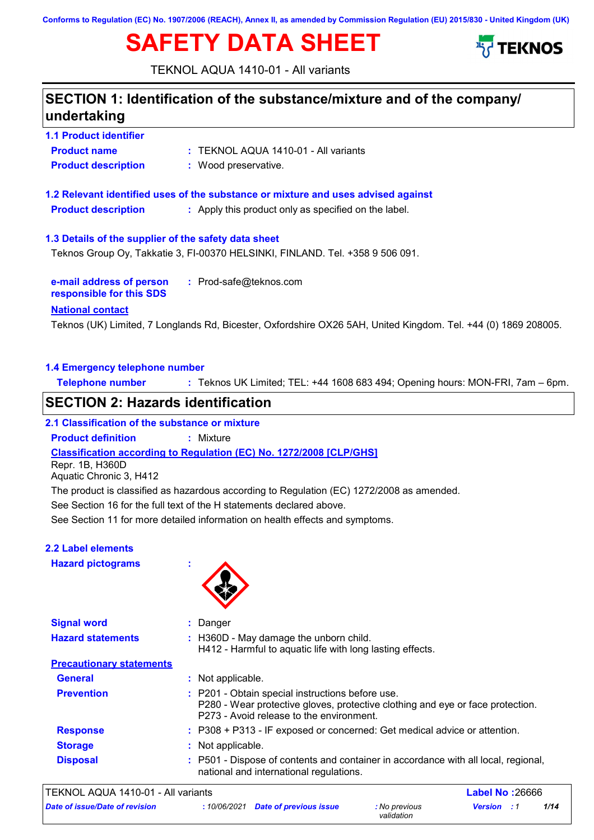**Conforms to Regulation (EC) No. 1907/2006 (REACH), Annex II, as amended by Commission Regulation (EU) 2015/830 - United Kingdom (UK)**

# **SAFETY DATA SHEET**



TEKNOL AQUA 1410-01 - All variants

## **SECTION 1: Identification of the substance/mixture and of the company/ undertaking**

**1.1 Product identifier 1.3 Details of the supplier of the safety data sheet 1.2 Relevant identified uses of the substance or mixture and uses advised against Product name :** TEKNOL AQUA 1410-01 - All variants **Product description :** Wood preservative. **Product description :** Apply this product only as specified on the label. Teknos Group Oy, Takkatie 3, FI-00370 HELSINKI, FINLAND. Tel. +358 9 506 091.

**e-mail address of person responsible for this SDS :** Prod-safe@teknos.com

#### **National contact**

Teknos (UK) Limited, 7 Longlands Rd, Bicester, Oxfordshire OX26 5AH, United Kingdom. Tel. +44 (0) 1869 208005.

#### **1.4 Emergency telephone number**

**Telephone number :** Teknos UK Limited; TEL: +44 1608 683 494; Opening hours: MON-FRI, 7am – 6pm.

### **SECTION 2: Hazards identification**

#### **2.1 Classification of the substance or mixture**

**Product definition :** Mixture

**Classification according to Regulation (EC) No. 1272/2008 [CLP/GHS]**

Repr. 1B, H360D

Aquatic Chronic 3, H412

The product is classified as hazardous according to Regulation (EC) 1272/2008 as amended.

See Section 16 for the full text of the H statements declared above.

See Section 11 for more detailed information on health effects and symptoms.

#### **2.2 Label elements**

**Hazard pictograms :**



| <b>Signal word</b>              | Danger                                                                                                                                                                         |  |
|---------------------------------|--------------------------------------------------------------------------------------------------------------------------------------------------------------------------------|--|
| <b>Hazard statements</b>        | : H360D - May damage the unborn child.<br>H412 - Harmful to aquatic life with long lasting effects.                                                                            |  |
| <b>Precautionary statements</b> |                                                                                                                                                                                |  |
| <b>General</b>                  | : Not applicable.                                                                                                                                                              |  |
| <b>Prevention</b>               | : P201 - Obtain special instructions before use.<br>P280 - Wear protective gloves, protective clothing and eye or face protection.<br>P273 - Avoid release to the environment. |  |
| <b>Response</b>                 | : P308 + P313 - IF exposed or concerned: Get medical advice or attention.                                                                                                      |  |
| <b>Storage</b>                  | : Not applicable.                                                                                                                                                              |  |
| <b>Disposal</b>                 | : P501 - Dispose of contents and container in accordance with all local, regional,<br>national and international regulations.                                                  |  |

| TEKNOL AQUA 1410-01 - All variants    |  | <b>Label No: 26666</b>              |                             |                    |      |
|---------------------------------------|--|-------------------------------------|-----------------------------|--------------------|------|
| <b>Date of issue/Date of revision</b> |  | : 10/06/2021 Date of previous issue | : No previous<br>validation | <b>Version</b> : 1 | 1/14 |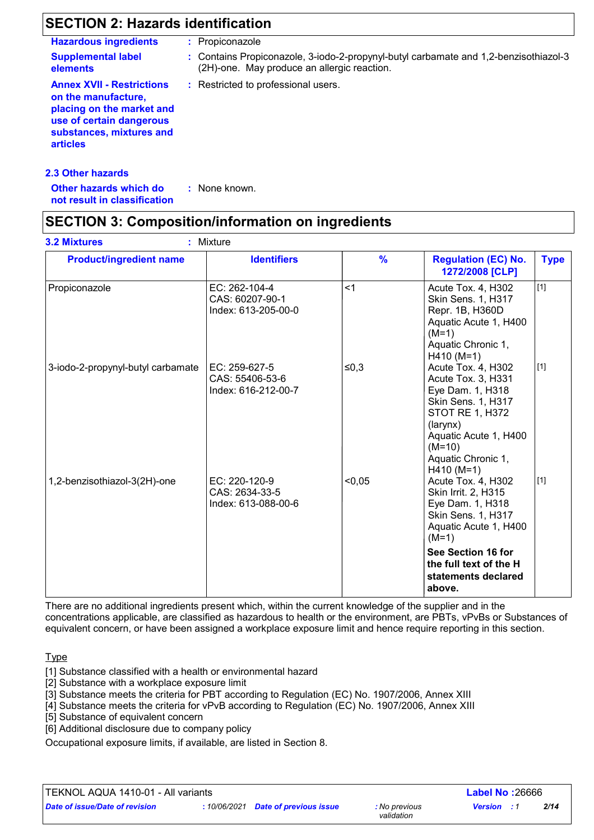## **SECTION 2: Hazards identification**

|                                                                                                                                                                 | : Propiconazole                                                                                                                     |
|-----------------------------------------------------------------------------------------------------------------------------------------------------------------|-------------------------------------------------------------------------------------------------------------------------------------|
| <b>Supplemental label</b><br>elements                                                                                                                           | : Contains Propiconazole, 3-iodo-2-propynyl-butyl carbamate and 1,2-benzisothiazol-3<br>(2H)-one. May produce an allergic reaction. |
| <b>Annex XVII - Restrictions</b><br>on the manufacture,<br>placing on the market and<br>use of certain dangerous<br>substances, mixtures and<br><b>articles</b> | : Restricted to professional users.                                                                                                 |
| <b>2.3 Other hazards</b><br>Other hazards which do                                                                                                              | : None known.                                                                                                                       |

**not result in classification**

## **SECTION 3: Composition/information on ingredients**

| <b>Product/ingredient name</b>    | <b>Identifiers</b>                                      | $\frac{9}{6}$ | <b>Regulation (EC) No.</b><br>1272/2008 [CLP]                                                                                                                                                       | <b>Type</b> |
|-----------------------------------|---------------------------------------------------------|---------------|-----------------------------------------------------------------------------------------------------------------------------------------------------------------------------------------------------|-------------|
| Propiconazole                     | EC: 262-104-4<br>CAS: 60207-90-1<br>Index: 613-205-00-0 | $<$ 1         | Acute Tox. 4, H302<br>Skin Sens. 1, H317<br>Repr. 1B, H360D<br>Aquatic Acute 1, H400<br>$(M=1)$<br>Aquatic Chronic 1,<br>$H410 (M=1)$                                                               | $[1]$       |
| 3-iodo-2-propynyl-butyl carbamate | EC: 259-627-5<br>CAS: 55406-53-6<br>Index: 616-212-00-7 | ≤0,3          | Acute Tox. 4, H302<br>Acute Tox. 3, H331<br>Eye Dam. 1, H318<br>Skin Sens. 1, H317<br><b>STOT RE 1, H372</b><br>(larynx)<br>Aquatic Acute 1, H400<br>$(M=10)$<br>Aquatic Chronic 1,<br>$H410 (M=1)$ | $[1]$       |
| 1,2-benzisothiazol-3(2H)-one      | EC: 220-120-9<br>CAS: 2634-33-5<br>Index: 613-088-00-6  | < 0.05        | Acute Tox. 4, H302<br>Skin Irrit. 2, H315<br>Eye Dam. 1, H318<br>Skin Sens. 1, H317<br>Aquatic Acute 1, H400<br>$(M=1)$                                                                             | $[1]$       |
|                                   |                                                         |               | See Section 16 for<br>the full text of the H<br>statements declared<br>above.                                                                                                                       |             |

There are no additional ingredients present which, within the current knowledge of the supplier and in the concentrations applicable, are classified as hazardous to health or the environment, are PBTs, vPvBs or Substances of equivalent concern, or have been assigned a workplace exposure limit and hence require reporting in this section.

**Type** 

- [1] Substance classified with a health or environmental hazard
- [2] Substance with a workplace exposure limit
- [3] Substance meets the criteria for PBT according to Regulation (EC) No. 1907/2006, Annex XIII
- [4] Substance meets the criteria for vPvB according to Regulation (EC) No. 1907/2006, Annex XIII
- [5] Substance of equivalent concern
- [6] Additional disclosure due to company policy

Occupational exposure limits, if available, are listed in Section 8.

TEKNOL AQUA 1410-01 - All variants **Label No :**26666

*Date of issue/Date of revision* **:** *10/06/2021 Date of previous issue : No previous* 

*validation*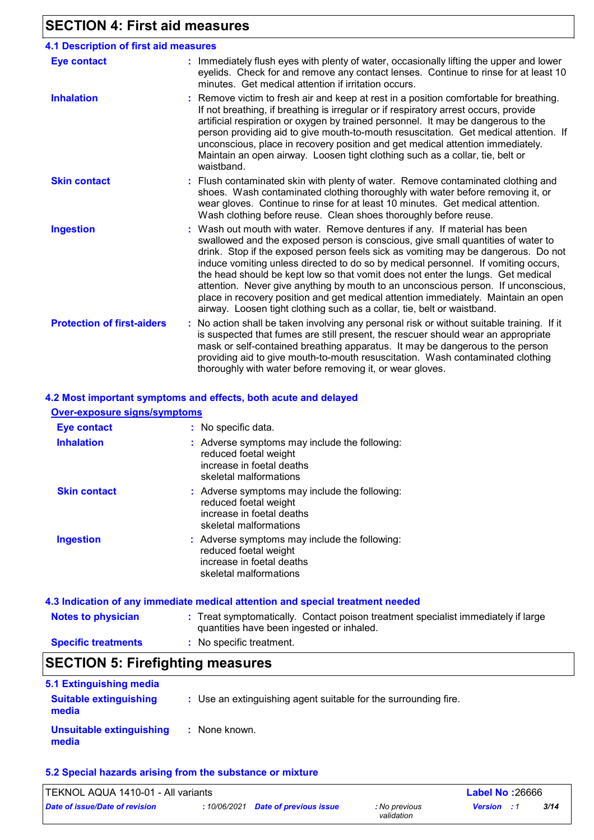## **SECTION 4: First aid measures**

| <b>4.1 Description of first aid measures</b> |                                                                                                                                                                                                                                                                                                                                                                                                                                                                                                                                                                                                                                                                                 |
|----------------------------------------------|---------------------------------------------------------------------------------------------------------------------------------------------------------------------------------------------------------------------------------------------------------------------------------------------------------------------------------------------------------------------------------------------------------------------------------------------------------------------------------------------------------------------------------------------------------------------------------------------------------------------------------------------------------------------------------|
| <b>Eye contact</b>                           | : Immediately flush eyes with plenty of water, occasionally lifting the upper and lower<br>eyelids. Check for and remove any contact lenses. Continue to rinse for at least 10<br>minutes. Get medical attention if irritation occurs.                                                                                                                                                                                                                                                                                                                                                                                                                                          |
| <b>Inhalation</b>                            | : Remove victim to fresh air and keep at rest in a position comfortable for breathing.<br>If not breathing, if breathing is irregular or if respiratory arrest occurs, provide<br>artificial respiration or oxygen by trained personnel. It may be dangerous to the<br>person providing aid to give mouth-to-mouth resuscitation. Get medical attention. If<br>unconscious, place in recovery position and get medical attention immediately.<br>Maintain an open airway. Loosen tight clothing such as a collar, tie, belt or<br>waistband.                                                                                                                                    |
| <b>Skin contact</b>                          | : Flush contaminated skin with plenty of water. Remove contaminated clothing and<br>shoes. Wash contaminated clothing thoroughly with water before removing it, or<br>wear gloves. Continue to rinse for at least 10 minutes. Get medical attention.<br>Wash clothing before reuse. Clean shoes thoroughly before reuse.                                                                                                                                                                                                                                                                                                                                                        |
| <b>Ingestion</b>                             | Wash out mouth with water. Remove dentures if any. If material has been<br>swallowed and the exposed person is conscious, give small quantities of water to<br>drink. Stop if the exposed person feels sick as vomiting may be dangerous. Do not<br>induce vomiting unless directed to do so by medical personnel. If vomiting occurs,<br>the head should be kept low so that vomit does not enter the lungs. Get medical<br>attention. Never give anything by mouth to an unconscious person. If unconscious,<br>place in recovery position and get medical attention immediately. Maintain an open<br>airway. Loosen tight clothing such as a collar, tie, belt or waistband. |
| <b>Protection of first-aiders</b>            | : No action shall be taken involving any personal risk or without suitable training. If it<br>is suspected that fumes are still present, the rescuer should wear an appropriate<br>mask or self-contained breathing apparatus. It may be dangerous to the person<br>providing aid to give mouth-to-mouth resuscitation. Wash contaminated clothing<br>thoroughly with water before removing it, or wear gloves.                                                                                                                                                                                                                                                                 |

#### **4.2 Most important symptoms and effects, both acute and delayed**

| <b>Over-exposure signs/symptoms</b> |                                                                                                                               |
|-------------------------------------|-------------------------------------------------------------------------------------------------------------------------------|
| <b>Eye contact</b>                  | : No specific data.                                                                                                           |
| <b>Inhalation</b>                   | : Adverse symptoms may include the following:<br>reduced foetal weight<br>increase in foetal deaths<br>skeletal malformations |
| <b>Skin contact</b>                 | : Adverse symptoms may include the following:<br>reduced foetal weight<br>increase in foetal deaths<br>skeletal malformations |
| <b>Ingestion</b>                    | : Adverse symptoms may include the following:<br>reduced foetal weight<br>increase in foetal deaths<br>skeletal malformations |
|                                     |                                                                                                                               |

#### **Notes to physician** Treat symptomatically. Contact poison treatment specialist immediately if large **:** quantities have been ingested or inhaled. **Specific treatments 4.3 Indication of any immediate medical attention and special treatment needed :** No specific treatment.

## **SECTION 5: Firefighting measures**

| 5.1 Extinguishing media                  |                                                                 |
|------------------------------------------|-----------------------------------------------------------------|
| <b>Suitable extinguishing</b><br>media   | : Use an extinguishing agent suitable for the surrounding fire. |
| <b>Unsuitable extinguishing</b><br>media | : None known.                                                   |

#### **5.2 Special hazards arising from the substance or mixture**

| TEKNOL AQUA 1410-01 - All variants |  |                                     |                             | <b>Label No: 26666</b> |      |
|------------------------------------|--|-------------------------------------|-----------------------------|------------------------|------|
| Date of issue/Date of revision     |  | : 10/06/2021 Date of previous issue | : No previous<br>validation | <b>Version</b> : 1     | 3/14 |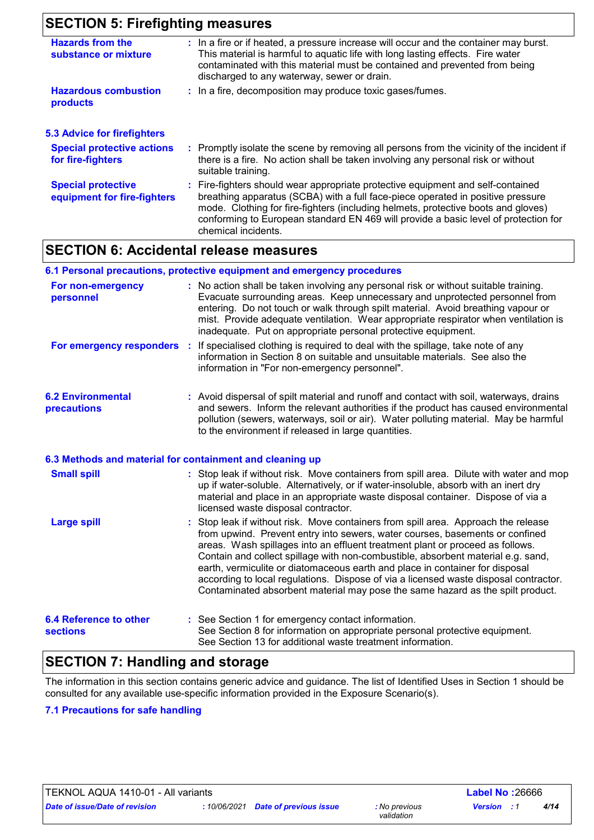## **SECTION 5: Firefighting measures**

| <b>Hazards from the</b><br>substance or mixture          | : In a fire or if heated, a pressure increase will occur and the container may burst.<br>This material is harmful to aquatic life with long lasting effects. Fire water<br>contaminated with this material must be contained and prevented from being<br>discharged to any waterway, sewer or drain.                                                                  |
|----------------------------------------------------------|-----------------------------------------------------------------------------------------------------------------------------------------------------------------------------------------------------------------------------------------------------------------------------------------------------------------------------------------------------------------------|
| <b>Hazardous combustion</b><br>products                  | : In a fire, decomposition may produce toxic gases/fumes.                                                                                                                                                                                                                                                                                                             |
| <b>5.3 Advice for firefighters</b>                       |                                                                                                                                                                                                                                                                                                                                                                       |
| <b>Special protective actions</b><br>for fire-fighters   | : Promptly isolate the scene by removing all persons from the vicinity of the incident if<br>there is a fire. No action shall be taken involving any personal risk or without<br>suitable training.                                                                                                                                                                   |
| <b>Special protective</b><br>equipment for fire-fighters | : Fire-fighters should wear appropriate protective equipment and self-contained<br>breathing apparatus (SCBA) with a full face-piece operated in positive pressure<br>mode. Clothing for fire-fighters (including helmets, protective boots and gloves)<br>conforming to European standard EN 469 will provide a basic level of protection for<br>chemical incidents. |

### **SECTION 6: Accidental release measures**

#### **6.1 Personal precautions, protective equipment and emergency procedures**

| For non-emergency<br>personnel                           | : No action shall be taken involving any personal risk or without suitable training.<br>Evacuate surrounding areas. Keep unnecessary and unprotected personnel from<br>entering. Do not touch or walk through spilt material. Avoid breathing vapour or<br>mist. Provide adequate ventilation. Wear appropriate respirator when ventilation is<br>inadequate. Put on appropriate personal protective equipment.                                                                                                                                                                                   |
|----------------------------------------------------------|---------------------------------------------------------------------------------------------------------------------------------------------------------------------------------------------------------------------------------------------------------------------------------------------------------------------------------------------------------------------------------------------------------------------------------------------------------------------------------------------------------------------------------------------------------------------------------------------------|
| <b>For emergency responders :</b>                        | If specialised clothing is required to deal with the spillage, take note of any<br>information in Section 8 on suitable and unsuitable materials. See also the<br>information in "For non-emergency personnel".                                                                                                                                                                                                                                                                                                                                                                                   |
| <b>6.2 Environmental</b><br>precautions                  | : Avoid dispersal of spilt material and runoff and contact with soil, waterways, drains<br>and sewers. Inform the relevant authorities if the product has caused environmental<br>pollution (sewers, waterways, soil or air). Water polluting material. May be harmful<br>to the environment if released in large quantities.                                                                                                                                                                                                                                                                     |
| 6.3 Methods and material for containment and cleaning up |                                                                                                                                                                                                                                                                                                                                                                                                                                                                                                                                                                                                   |
| <b>Small spill</b>                                       | : Stop leak if without risk. Move containers from spill area. Dilute with water and mop<br>up if water-soluble. Alternatively, or if water-insoluble, absorb with an inert dry<br>material and place in an appropriate waste disposal container. Dispose of via a<br>licensed waste disposal contractor.                                                                                                                                                                                                                                                                                          |
| <b>Large spill</b>                                       | : Stop leak if without risk. Move containers from spill area. Approach the release<br>from upwind. Prevent entry into sewers, water courses, basements or confined<br>areas. Wash spillages into an effluent treatment plant or proceed as follows.<br>Contain and collect spillage with non-combustible, absorbent material e.g. sand,<br>earth, vermiculite or diatomaceous earth and place in container for disposal<br>according to local regulations. Dispose of via a licensed waste disposal contractor.<br>Contaminated absorbent material may pose the same hazard as the spilt product. |
| <b>6.4 Reference to other</b><br><b>sections</b>         | : See Section 1 for emergency contact information.<br>See Section 8 for information on appropriate personal protective equipment.<br>See Section 13 for additional waste treatment information.                                                                                                                                                                                                                                                                                                                                                                                                   |

## **SECTION 7: Handling and storage**

The information in this section contains generic advice and guidance. The list of Identified Uses in Section 1 should be consulted for any available use-specific information provided in the Exposure Scenario(s).

#### **7.1 Precautions for safe handling**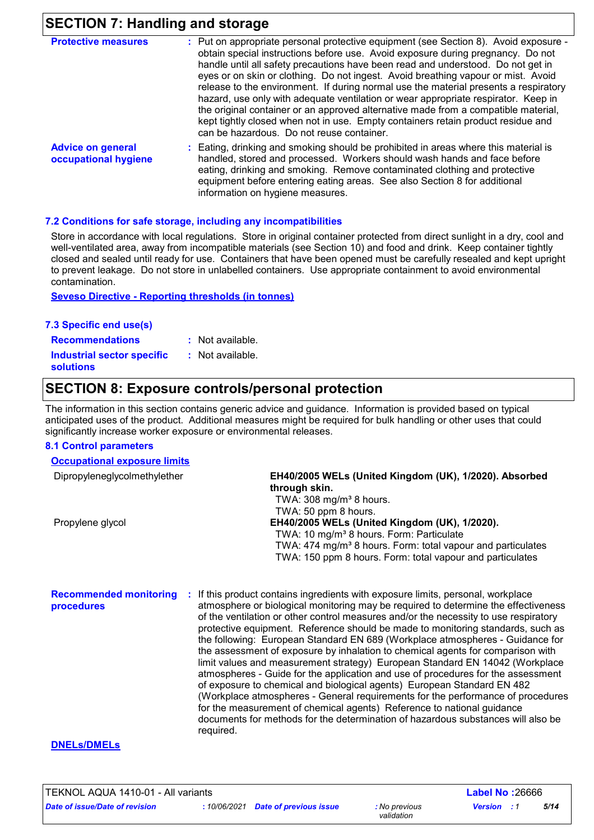## **SECTION 7: Handling and storage**

| <b>Protective measures</b>                       | : Put on appropriate personal protective equipment (see Section 8). Avoid exposure -<br>obtain special instructions before use. Avoid exposure during pregnancy. Do not<br>handle until all safety precautions have been read and understood. Do not get in<br>eyes or on skin or clothing. Do not ingest. Avoid breathing vapour or mist. Avoid<br>release to the environment. If during normal use the material presents a respiratory<br>hazard, use only with adequate ventilation or wear appropriate respirator. Keep in<br>the original container or an approved alternative made from a compatible material,<br>kept tightly closed when not in use. Empty containers retain product residue and<br>can be hazardous. Do not reuse container. |
|--------------------------------------------------|-------------------------------------------------------------------------------------------------------------------------------------------------------------------------------------------------------------------------------------------------------------------------------------------------------------------------------------------------------------------------------------------------------------------------------------------------------------------------------------------------------------------------------------------------------------------------------------------------------------------------------------------------------------------------------------------------------------------------------------------------------|
| <b>Advice on general</b><br>occupational hygiene | : Eating, drinking and smoking should be prohibited in areas where this material is<br>handled, stored and processed. Workers should wash hands and face before<br>eating, drinking and smoking. Remove contaminated clothing and protective<br>equipment before entering eating areas. See also Section 8 for additional<br>information on hygiene measures.                                                                                                                                                                                                                                                                                                                                                                                         |

#### **7.2 Conditions for safe storage, including any incompatibilities**

Store in accordance with local regulations. Store in original container protected from direct sunlight in a dry, cool and well-ventilated area, away from incompatible materials (see Section 10) and food and drink. Keep container tightly closed and sealed until ready for use. Containers that have been opened must be carefully resealed and kept upright to prevent leakage. Do not store in unlabelled containers. Use appropriate containment to avoid environmental contamination.

**Seveso Directive - Reporting thresholds (in tonnes)**

| 7.3 Specific end use(s)                        |                  |
|------------------------------------------------|------------------|
| <b>Recommendations</b>                         | : Not available. |
| Industrial sector specific<br><b>solutions</b> | : Not available. |

### **SECTION 8: Exposure controls/personal protection**

The information in this section contains generic advice and guidance. Information is provided based on typical anticipated uses of the product. Additional measures might be required for bulk handling or other uses that could significantly increase worker exposure or environmental releases.

#### **8.1 Control parameters**

| <b>Occupational exposure limits</b> |                                                                         |
|-------------------------------------|-------------------------------------------------------------------------|
| Dipropyleneglycolmethylether        | EH40/2005 WELs (United Kingdom (UK), 1/2020). Absorbed<br>through skin. |
|                                     | TWA: $308 \text{ mg/m}^3$ 8 hours.                                      |
|                                     | TWA: 50 ppm 8 hours.                                                    |
| Propylene glycol                    | EH40/2005 WELs (United Kingdom (UK), 1/2020).                           |
|                                     | TWA: 10 mg/m <sup>3</sup> 8 hours. Form: Particulate                    |
|                                     | TWA: 474 mg/m <sup>3</sup> 8 hours. Form: total vapour and particulates |
|                                     | TWA: 150 ppm 8 hours. Form: total vapour and particulates               |
|                                     |                                                                         |

**Recommended monitoring**  If this product contains ingredients with exposure limits, personal, workplace **: procedures** atmosphere or biological monitoring may be required to determine the effectiveness of the ventilation or other control measures and/or the necessity to use respiratory protective equipment. Reference should be made to monitoring standards, such as the following: European Standard EN 689 (Workplace atmospheres - Guidance for the assessment of exposure by inhalation to chemical agents for comparison with limit values and measurement strategy) European Standard EN 14042 (Workplace atmospheres - Guide for the application and use of procedures for the assessment of exposure to chemical and biological agents) European Standard EN 482 (Workplace atmospheres - General requirements for the performance of procedures for the measurement of chemical agents) Reference to national guidance documents for methods for the determination of hazardous substances will also be required.

#### **DNELs/DMELs**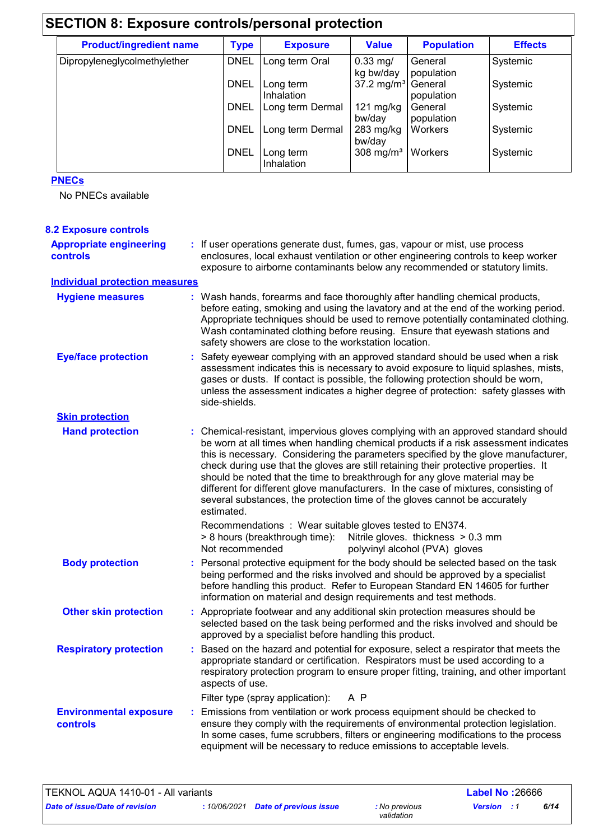| <b>Product/ingredient name</b> | <b>Type</b> | <b>Exposure</b>         | <b>Value</b>                    | <b>Population</b>     | <b>Effects</b> |
|--------------------------------|-------------|-------------------------|---------------------------------|-----------------------|----------------|
| Dipropyleneglycolmethylether   | <b>DNEL</b> | Long term Oral          | $0.33$ mg/<br>kg bw/day         | General<br>population | Systemic       |
|                                | <b>DNEL</b> | Long term<br>Inhalation | $37.2 \text{ mg/m}^3$           | General<br>population | Systemic       |
|                                | <b>DNEL</b> | Long term Dermal        | 121 $mg/kg$<br>bw/day           | General<br>population | Systemic       |
|                                | <b>DNEL</b> | Long term Dermal        | $283$ mg/kg<br>bw/day           | Workers               | Systemic       |
|                                | <b>DNEL</b> | Long term<br>Inhalation | 308 mg/m <sup>3</sup>   Workers |                       | Systemic       |

#### **PNECs**

No PNECs available

| <b>8.2 Exposure controls</b>                      |                                                                                                                                                                                                                                                                                                                                                                                                                                                                                                                                                                                                                           |
|---------------------------------------------------|---------------------------------------------------------------------------------------------------------------------------------------------------------------------------------------------------------------------------------------------------------------------------------------------------------------------------------------------------------------------------------------------------------------------------------------------------------------------------------------------------------------------------------------------------------------------------------------------------------------------------|
| <b>Appropriate engineering</b><br><b>controls</b> | : If user operations generate dust, fumes, gas, vapour or mist, use process<br>enclosures, local exhaust ventilation or other engineering controls to keep worker<br>exposure to airborne contaminants below any recommended or statutory limits.                                                                                                                                                                                                                                                                                                                                                                         |
| <b>Individual protection measures</b>             |                                                                                                                                                                                                                                                                                                                                                                                                                                                                                                                                                                                                                           |
| <b>Hygiene measures</b>                           | : Wash hands, forearms and face thoroughly after handling chemical products,<br>before eating, smoking and using the lavatory and at the end of the working period.<br>Appropriate techniques should be used to remove potentially contaminated clothing.<br>Wash contaminated clothing before reusing. Ensure that eyewash stations and<br>safety showers are close to the workstation location.                                                                                                                                                                                                                         |
| <b>Eye/face protection</b>                        | : Safety eyewear complying with an approved standard should be used when a risk<br>assessment indicates this is necessary to avoid exposure to liquid splashes, mists,<br>gases or dusts. If contact is possible, the following protection should be worn,<br>unless the assessment indicates a higher degree of protection: safety glasses with<br>side-shields.                                                                                                                                                                                                                                                         |
| <b>Skin protection</b>                            |                                                                                                                                                                                                                                                                                                                                                                                                                                                                                                                                                                                                                           |
| <b>Hand protection</b>                            | : Chemical-resistant, impervious gloves complying with an approved standard should<br>be worn at all times when handling chemical products if a risk assessment indicates<br>this is necessary. Considering the parameters specified by the glove manufacturer,<br>check during use that the gloves are still retaining their protective properties. It<br>should be noted that the time to breakthrough for any glove material may be<br>different for different glove manufacturers. In the case of mixtures, consisting of<br>several substances, the protection time of the gloves cannot be accurately<br>estimated. |
|                                                   | Recommendations : Wear suitable gloves tested to EN374.<br>> 8 hours (breakthrough time): Nitrile gloves. thickness > 0.3 mm<br>Not recommended<br>polyvinyl alcohol (PVA) gloves                                                                                                                                                                                                                                                                                                                                                                                                                                         |
| <b>Body protection</b>                            | : Personal protective equipment for the body should be selected based on the task<br>being performed and the risks involved and should be approved by a specialist<br>before handling this product. Refer to European Standard EN 14605 for further<br>information on material and design requirements and test methods.                                                                                                                                                                                                                                                                                                  |
| <b>Other skin protection</b>                      | : Appropriate footwear and any additional skin protection measures should be<br>selected based on the task being performed and the risks involved and should be<br>approved by a specialist before handling this product.                                                                                                                                                                                                                                                                                                                                                                                                 |
| <b>Respiratory protection</b>                     | : Based on the hazard and potential for exposure, select a respirator that meets the<br>appropriate standard or certification. Respirators must be used according to a<br>respiratory protection program to ensure proper fitting, training, and other important<br>aspects of use.                                                                                                                                                                                                                                                                                                                                       |
|                                                   | Filter type (spray application):<br>A P                                                                                                                                                                                                                                                                                                                                                                                                                                                                                                                                                                                   |
| <b>Environmental exposure</b><br>controls         | : Emissions from ventilation or work process equipment should be checked to<br>ensure they comply with the requirements of environmental protection legislation.<br>In some cases, fume scrubbers, filters or engineering modifications to the process<br>equipment will be necessary to reduce emissions to acceptable levels.                                                                                                                                                                                                                                                                                           |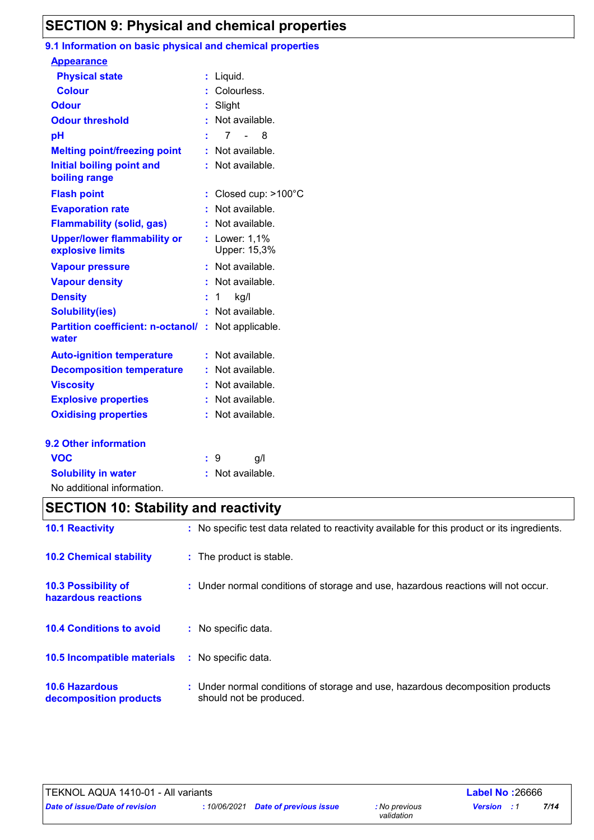## **SECTION 9: Physical and chemical properties**

#### **9.1 Information on basic physical and chemical properties**

| <b>Appearance</b>                                      |    |                                             |
|--------------------------------------------------------|----|---------------------------------------------|
| <b>Physical state</b>                                  | t. | Liquid.                                     |
| <b>Colour</b>                                          |    | Colourless.                                 |
| <b>Odour</b>                                           |    | Slight                                      |
| <b>Odour threshold</b>                                 |    | Not available.                              |
| pH                                                     |    | $\overline{7}$<br>$\sim 100$ m $^{-1}$<br>8 |
| <b>Melting point/freezing point</b>                    | ÷. | Not available.                              |
| <b>Initial boiling point and</b><br>boiling range      |    | Not available.                              |
| <b>Flash point</b>                                     | ÷. | Closed cup: >100°C                          |
| <b>Evaporation rate</b>                                |    | Not available.                              |
| <b>Flammability (solid, gas)</b>                       |    | Not available.                              |
| <b>Upper/lower flammability or</b><br>explosive limits |    | : Lower: 1,1%<br>Upper: 15,3%               |
| <b>Vapour pressure</b>                                 | ÷. | Not available.                              |
| <b>Vapour density</b>                                  |    | Not available.                              |
| <b>Density</b>                                         | ÷  | kg/l<br>1                                   |
| <b>Solubility(ies)</b>                                 |    | Not available.                              |
| <b>Partition coefficient: n-octanol/</b><br>water      | ÷. | Not applicable.                             |
| <b>Auto-ignition temperature</b>                       |    | Not available.                              |
| <b>Decomposition temperature</b>                       |    | Not available.                              |
| <b>Viscosity</b>                                       |    | Not available.                              |
| <b>Explosive properties</b>                            |    | Not available.                              |
| <b>Oxidising properties</b>                            |    | Not available.                              |
| 9.2 Other information                                  |    |                                             |
| <b>VOC</b>                                             |    | g/l<br>9                                    |
| <b>Solubility in water</b>                             |    | Not available.                              |

# **SECTION 10: Stability and reactivity**

| <b>10.1 Reactivity</b>                          | : No specific test data related to reactivity available for this product or its ingredients.              |
|-------------------------------------------------|-----------------------------------------------------------------------------------------------------------|
| <b>10.2 Chemical stability</b>                  | : The product is stable.                                                                                  |
| 10.3 Possibility of<br>hazardous reactions      | : Under normal conditions of storage and use, hazardous reactions will not occur.                         |
| <b>10.4 Conditions to avoid</b>                 | : No specific data.                                                                                       |
| 10.5 Incompatible materials                     | : No specific data.                                                                                       |
| <b>10.6 Hazardous</b><br>decomposition products | : Under normal conditions of storage and use, hazardous decomposition products<br>should not be produced. |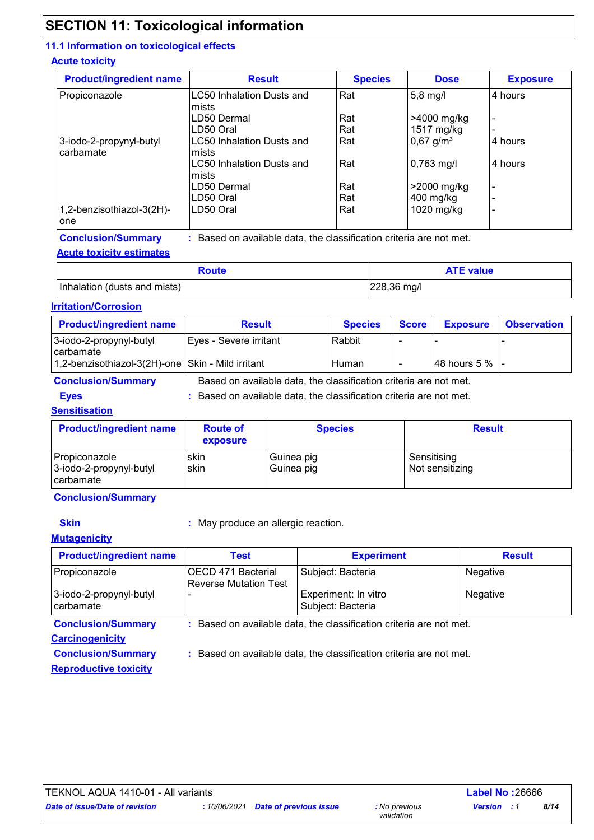## **SECTION 11: Toxicological information**

#### **11.1 Information on toxicological effects**

#### **Acute toxicity**

| <b>Product/ingredient name</b> | <b>Result</b>                    | <b>Species</b> | <b>Dose</b>             | <b>Exposure</b>          |
|--------------------------------|----------------------------------|----------------|-------------------------|--------------------------|
| Propiconazole                  | LC50 Inhalation Dusts and        | Rat            | $5,8 \text{ mg/l}$      | 4 hours                  |
|                                | Imists                           |                |                         |                          |
|                                | LD50 Dermal                      | Rat            | >4000 mg/kg             | $\overline{\phantom{a}}$ |
|                                | LD50 Oral                        | Rat            | 1517 mg/kg              |                          |
| 3-iodo-2-propynyl-butyl        | LC50 Inhalation Dusts and        | Rat            | $0,67$ g/m <sup>3</sup> | 4 hours                  |
| carbamate                      | Imists                           |                |                         |                          |
|                                | <b>LC50 Inhalation Dusts and</b> | Rat            | $0,763$ mg/l            | 4 hours                  |
|                                | Imists                           |                |                         |                          |
|                                | LD50 Dermal                      | Rat            | >2000 mg/kg             | $\overline{\phantom{0}}$ |
|                                | LD50 Oral                        | Rat            | 400 mg/kg               |                          |
| 1,2-benzisothiazol-3(2H)-      | LD50 Oral                        | Rat            | 1020 mg/kg              | $\overline{\phantom{0}}$ |
| one                            |                                  |                |                         |                          |

**Conclusion/Summary :** Based on available data, the classification criteria are not met.

#### **Acute toxicity estimates**

| Route                        | <b>ATE value</b> |
|------------------------------|------------------|
| Inhalation (dusts and mists) | 228,36 mg/l      |

#### **Irritation/Corrosion**

| <b>Product/ingredient name</b>                    | <b>Result</b>                                                     | <b>Species</b> | <b>Score</b> | <b>Exposure</b>       | <b>Observation</b> |  |
|---------------------------------------------------|-------------------------------------------------------------------|----------------|--------------|-----------------------|--------------------|--|
| 3-iodo-2-propynyl-butyl<br>carbamate              | Eyes - Severe irritant                                            | Rabbit         |              |                       |                    |  |
| 1,2-benzisothiazol-3(2H)-one Skin - Mild irritant |                                                                   | Human          |              | $ 48$ hours 5 % $ $ - |                    |  |
| <b>Conclusion/Summary</b>                         | Based on available data, the classification criteria are not met. |                |              |                       |                    |  |

**Eyes Exercise 2.1 CONSTERN 2.1 CONSTERN 2.1 CONSTERN 2.1 CONSTERN 2.1 BASED 2.1 CONSTERN 2.1 BASED 2.1 CONSTERN 3.1 BASED 2.1 BASED 3.1 BASED 3.1 BASED 3.1 BASED 3.1 BASED 3.1 BASED 3.1 BASED 3.1 BASED 3.1 BASED 3.1 BAS** Based on available data, the classification criteria are not met.

#### **Sensitisation**

Propiconazole **Sensitising** skin Guinea pig Sensitising 3-iodo-2-propynyl-butyl carbamate skin Guinea pig Not sensitizing **Product/ingredient name Route of exposure Species Result** 

#### **Conclusion/Summary**

**Skin :** May produce an allergic reaction.

#### **Mutagenicity**

| <b>Product/ingredient name</b>                                                                   | <b>Test</b>                                                         | <b>Experiment</b>                         | <b>Result</b> |  |  |
|--------------------------------------------------------------------------------------------------|---------------------------------------------------------------------|-------------------------------------------|---------------|--|--|
| Propiconazole                                                                                    | OECD 471 Bacterial<br><b>Reverse Mutation Test</b>                  | Subject: Bacteria                         | Negative      |  |  |
| 3-iodo-2-propynyl-butyl<br><b>carbamate</b>                                                      |                                                                     | Experiment: In vitro<br>Subject: Bacteria | Negative      |  |  |
| <b>Conclusion/Summary</b><br>: Based on available data, the classification criteria are not met. |                                                                     |                                           |               |  |  |
| <b>Carcinogenicity</b>                                                                           |                                                                     |                                           |               |  |  |
| <b>Conclusion/Summary</b>                                                                        | : Based on available data, the classification criteria are not met. |                                           |               |  |  |

**Reproductive toxicity**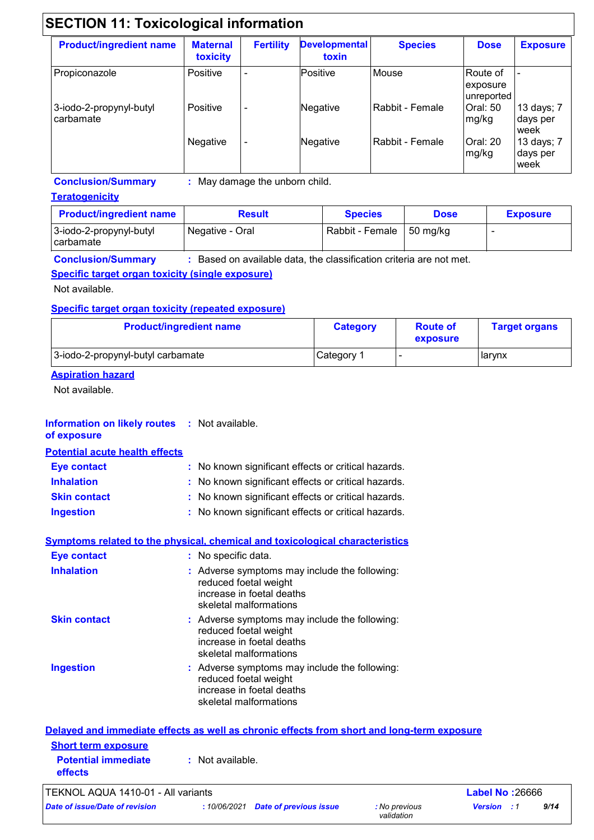| <b>Product/ingredient name</b>       | <b>Maternal</b><br>toxicity | <b>Fertility</b> | <b>Developmental</b><br>toxin | <b>Species</b>  | <b>Dose</b>                        | <b>Exposure</b>                |
|--------------------------------------|-----------------------------|------------------|-------------------------------|-----------------|------------------------------------|--------------------------------|
| Propiconazole                        | Positive                    | ۰                | Positive                      | Mouse           | Route of<br>exposure<br>unreported |                                |
| 3-iodo-2-propynyl-butyl<br>carbamate | Positive                    | ٠                | Negative                      | Rabbit - Female | <b>Oral: 50</b><br>mg/kg           | 13 days; 7<br>days per<br>week |
|                                      | Negative                    | ٠                | Negative                      | Rabbit - Female | Oral: 20<br>mg/kg                  | 13 days; 7<br>days per<br>week |

**Conclusion/Summary :** May damage the unborn child.

#### **Teratogenicity**

| <b>Product/ingredient name</b>         | <b>Result</b>   | <b>Species</b>  | <b>Dose</b> | <b>Exposure</b> |
|----------------------------------------|-----------------|-----------------|-------------|-----------------|
| 3-iodo-2-propynyl-butyl<br>l carbamate | Negative - Oral | Rabbit - Female | 50 mg/kg    |                 |

**Conclusion/Summary :** Based on available data, the classification criteria are not met.

#### **Specific target organ toxicity (single exposure)**

Not available.

#### **Specific target organ toxicity (repeated exposure)**

| <b>Product/ingredient name</b>    | <b>Category</b> | <b>Route of</b><br>exposure | <b>Target organs</b> |
|-----------------------------------|-----------------|-----------------------------|----------------------|
| 3-iodo-2-propynyl-butyl carbamate | Category 1      |                             | l larynx             |

#### **Aspiration hazard**

Not available.

#### **Information on likely routes : Not available. of exposure**

**Potential acute health effects**

| <b>Eye contact</b>  | : No known significant effects or critical hazards. |
|---------------------|-----------------------------------------------------|
| <b>Inhalation</b>   | : No known significant effects or critical hazards. |
| <b>Skin contact</b> | : No known significant effects or critical hazards. |
| <b>Ingestion</b>    | : No known significant effects or critical hazards. |

### **Symptoms related to the physical, chemical and toxicological characteristics**

| <b>Eye contact</b>  | : No specific data.                                                                                                           |
|---------------------|-------------------------------------------------------------------------------------------------------------------------------|
| <b>Inhalation</b>   | : Adverse symptoms may include the following:<br>reduced foetal weight<br>increase in foetal deaths<br>skeletal malformations |
| <b>Skin contact</b> | : Adverse symptoms may include the following:<br>reduced foetal weight<br>increase in foetal deaths<br>skeletal malformations |
| <b>Ingestion</b>    | : Adverse symptoms may include the following:<br>reduced foetal weight<br>increase in foetal deaths<br>skeletal malformations |

|                                              | Delayed and immediate effects as well as chronic effects from short and long-term exposure |                        |
|----------------------------------------------|--------------------------------------------------------------------------------------------|------------------------|
| <b>Short term exposure</b>                   |                                                                                            |                        |
| <b>Potential immediate</b><br><b>effects</b> | : Not available.                                                                           |                        |
| TEKNOL AQUA 1410-01 - All variants           |                                                                                            | <b>Label No: 26666</b> |

*Date of issue/Date of revision* **:** *10/06/2021 Date of previous issue : No previous* 

*validation*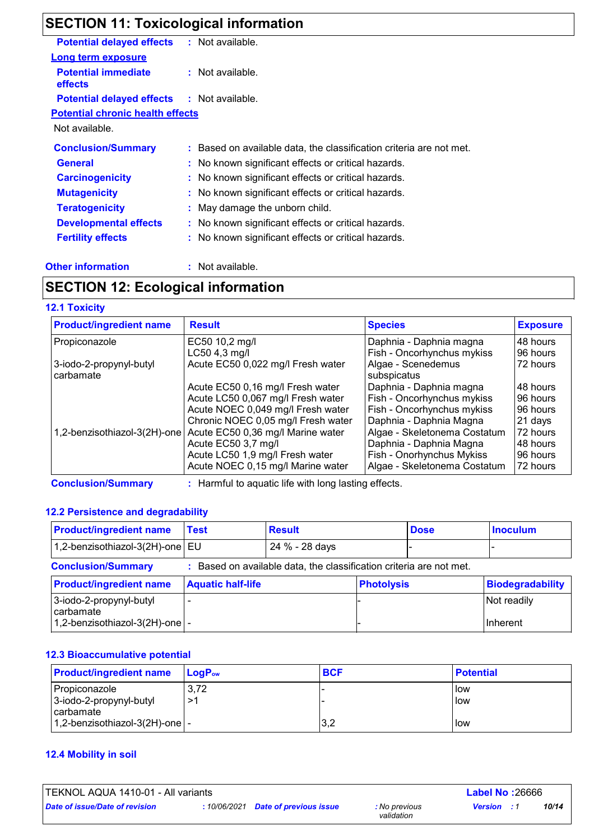# **SECTION 11: Toxicological information**

| <b>Potential delayed effects</b>                  | : Not available.                                                    |
|---------------------------------------------------|---------------------------------------------------------------------|
| <b>Long term exposure</b>                         |                                                                     |
| <b>Potential immediate</b><br>effects             | : Not available.                                                    |
| <b>Potential delayed effects : Not available.</b> |                                                                     |
| <b>Potential chronic health effects</b>           |                                                                     |
| Not available.                                    |                                                                     |
| <b>Conclusion/Summary</b>                         | : Based on available data, the classification criteria are not met. |
| <b>General</b>                                    | : No known significant effects or critical hazards.                 |
| <b>Carcinogenicity</b>                            | : No known significant effects or critical hazards.                 |
| <b>Mutagenicity</b>                               | : No known significant effects or critical hazards.                 |
| <b>Teratogenicity</b>                             | : May damage the unborn child.                                      |
| <b>Developmental effects</b>                      | : No known significant effects or critical hazards.                 |
| <b>Fertility effects</b>                          | : No known significant effects or critical hazards.                 |
|                                                   |                                                                     |

#### **Other information :**

: Not available.

## **SECTION 12: Ecological information**

#### **12.1 Toxicity**

| <b>Product/ingredient name</b> | <b>Result</b>                                        | <b>Species</b>               | <b>Exposure</b> |
|--------------------------------|------------------------------------------------------|------------------------------|-----------------|
| Propiconazole                  | EC50 10,2 mg/l                                       | Daphnia - Daphnia magna      | 48 hours        |
|                                | LC50 4,3 mg/l                                        | Fish - Oncorhynchus mykiss   | 96 hours        |
| 3-iodo-2-propynyl-butyl        | Acute EC50 0,022 mg/l Fresh water                    | Algae - Scenedemus           | 72 hours        |
| carbamate                      |                                                      | subspicatus                  |                 |
|                                | Acute EC50 0,16 mg/l Fresh water                     | Daphnia - Daphnia magna      | 48 hours        |
|                                | Acute LC50 0,067 mg/l Fresh water                    | Fish - Oncorhynchus mykiss   | 96 hours        |
|                                | Acute NOEC 0,049 mg/l Fresh water                    | Fish - Oncorhynchus mykiss   | 96 hours        |
|                                | Chronic NOEC 0,05 mg/l Fresh water                   | Daphnia - Daphnia Magna      | 21 days         |
| 1,2-benzisothiazol-3(2H)-one   | Acute EC50 0,36 mg/l Marine water                    | Algae - Skeletonema Costatum | 72 hours        |
|                                | Acute EC50 3,7 mg/l                                  | Daphnia - Daphnia Magna      | 48 hours        |
|                                | Acute LC50 1,9 mg/l Fresh water                      | Fish - Onorhynchus Mykiss    | 96 hours        |
|                                | Acute NOEC 0,15 mg/l Marine water                    | Algae - Skeletonema Costatum | 72 hours        |
| <b>Conclusion/Summary</b>      | : Harmful to aquatic life with long lasting effects. |                              |                 |

#### **12.2 Persistence and degradability**

| <b>Product/ingredient name</b>                                           | Test                     | <b>Result</b>                                                     |                   | <b>Dose</b> | <b>Inoculum</b>         |
|--------------------------------------------------------------------------|--------------------------|-------------------------------------------------------------------|-------------------|-------------|-------------------------|
| 1,2-benzisothiazol-3(2H)-one EU                                          |                          | 24 % - 28 days                                                    |                   |             |                         |
| <b>Conclusion/Summary</b>                                                |                          | Based on available data, the classification criteria are not met. |                   |             |                         |
| <b>Product/ingredient name</b>                                           | <b>Aquatic half-life</b> |                                                                   | <b>Photolysis</b> |             | <b>Biodegradability</b> |
| 3-iodo-2-propynyl-butyl<br>carbamate<br>1,2-benzisothiazol-3(2H)-one   - |                          |                                                                   |                   |             | Not readily<br>Inherent |

#### **12.3 Bioaccumulative potential**

| <b>Product/ingredient name</b>   | ⊺LoɑP <sub>∾</sub> | <b>BCF</b> | <b>Potential</b> |
|----------------------------------|--------------------|------------|------------------|
| Propiconazole                    | 3,72               |            | <b>I</b> ow      |
| 3-iodo-2-propynyl-butyl          | →1                 |            | <b>I</b> low     |
| l carbamate                      |                    |            |                  |
| 1,2-benzisothiazol-3(2H)-one   - |                    | 3,2        | <b>I</b> low     |

#### **12.4 Mobility in soil**

| TEKNOL AQUA 1410-01 - All variants<br><b>Label No: 26666</b> |  |                                     |                             |                    |  |       |
|--------------------------------------------------------------|--|-------------------------------------|-----------------------------|--------------------|--|-------|
| Date of issue/Date of revision                               |  | : 10/06/2021 Date of previous issue | : No previous<br>validation | <b>Version</b> : 1 |  | 10/14 |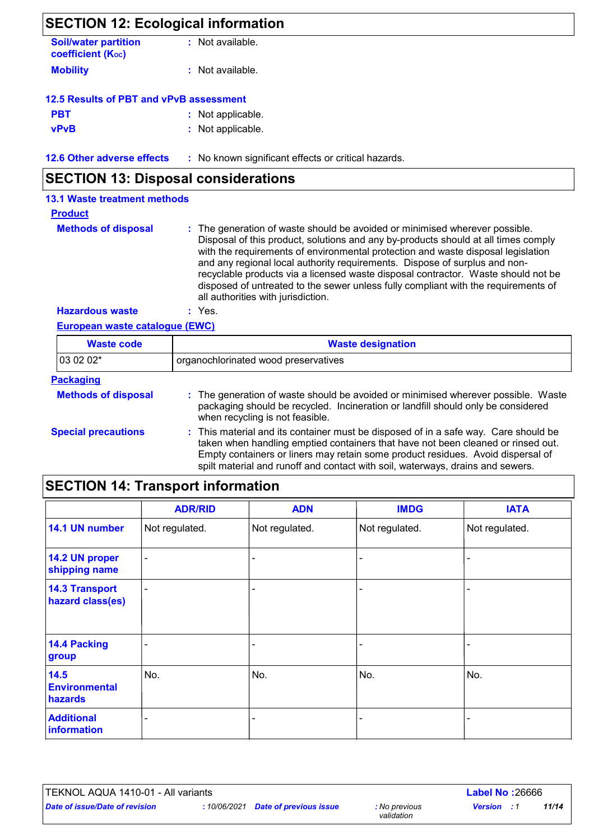## **SECTION 12: Ecological information Mobility :** Not available. **12.6 Other adverse effects** : No known significant effects or critical hazards. **PBT :** Not applicable. **vPvB :** Not applicable. **Soil/water partition coefficient (Koc) :** Not available. **12.5 Results of PBT and vPvB assessment SECTION 13: Disposal considerations**

| <b>13.1 Waste treatment methods</b> |                                                                                                                                                                                                                                                                                                                                                                                                                                                                                                                                                      |
|-------------------------------------|------------------------------------------------------------------------------------------------------------------------------------------------------------------------------------------------------------------------------------------------------------------------------------------------------------------------------------------------------------------------------------------------------------------------------------------------------------------------------------------------------------------------------------------------------|
| <b>Product</b>                      |                                                                                                                                                                                                                                                                                                                                                                                                                                                                                                                                                      |
| <b>Methods of disposal</b>          | : The generation of waste should be avoided or minimised wherever possible.<br>Disposal of this product, solutions and any by-products should at all times comply<br>with the requirements of environmental protection and waste disposal legislation<br>and any regional local authority requirements. Dispose of surplus and non-<br>recyclable products via a licensed waste disposal contractor. Waste should not be<br>disposed of untreated to the sewer unless fully compliant with the requirements of<br>all authorities with jurisdiction. |
| <b>Hazardous waste</b>              | : Yes.                                                                                                                                                                                                                                                                                                                                                                                                                                                                                                                                               |

#### **European waste catalogue (EWC)**

| <b>Waste code</b>          | <b>Waste designation</b>                                                                                                                                                                                                                                                                                                                     |  |  |  |  |
|----------------------------|----------------------------------------------------------------------------------------------------------------------------------------------------------------------------------------------------------------------------------------------------------------------------------------------------------------------------------------------|--|--|--|--|
| 03 02 02*                  | organochlorinated wood preservatives                                                                                                                                                                                                                                                                                                         |  |  |  |  |
| <b>Packaging</b>           |                                                                                                                                                                                                                                                                                                                                              |  |  |  |  |
| <b>Methods of disposal</b> | : The generation of waste should be avoided or minimised wherever possible. Waste<br>packaging should be recycled. Incineration or landfill should only be considered<br>when recycling is not feasible.                                                                                                                                     |  |  |  |  |
| <b>Special precautions</b> | : This material and its container must be disposed of in a safe way. Care should be<br>taken when handling emptied containers that have not been cleaned or rinsed out.<br>Empty containers or liners may retain some product residues. Avoid dispersal of<br>spilt material and runoff and contact with soil, waterways, drains and sewers. |  |  |  |  |

## **SECTION 14: Transport information**

|                                           | <b>ADR/RID</b> | <b>ADN</b>     | <b>IMDG</b>    | <b>IATA</b>    |
|-------------------------------------------|----------------|----------------|----------------|----------------|
| 14.1 UN number                            | Not regulated. | Not regulated. | Not regulated. | Not regulated. |
| 14.2 UN proper<br>shipping name           | $\blacksquare$ |                |                |                |
| <b>14.3 Transport</b><br>hazard class(es) | ٠              |                |                |                |
| 14.4 Packing<br>group                     |                |                |                |                |
| 14.5<br><b>Environmental</b><br>hazards   | No.            | No.            | No.            | No.            |
| <b>Additional</b><br>information          |                |                |                |                |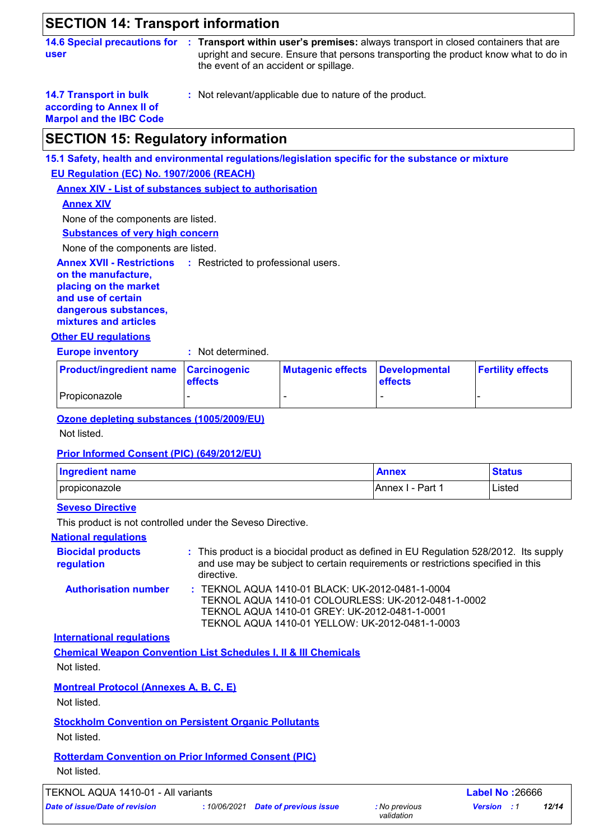## **SECTION 14: Transport information**

**user**

**14.6 Special precautions for Transport within user's premises:** always transport in closed containers that are **:** upright and secure. Ensure that persons transporting the product know what to do in the event of an accident or spillage.

**14.7 Transport in bulk according to Annex II of Marpol and the IBC Code** **:** Not relevant/applicable due to nature of the product.

## **SECTION 15: Regulatory information**

**15.1 Safety, health and environmental regulations/legislation specific for the substance or mixture**

**EU Regulation (EC) No. 1907/2006 (REACH)**

**Annex XIV - List of substances subject to authorisation**

#### **Annex XIV**

None of the components are listed.

**Substances of very high concern**

None of the components are listed.

**Annex XVII - Restrictions** : Restricted to professional users.

**on the manufacture, placing on the market and use of certain dangerous substances, mixtures and articles**

#### **Other EU regulations**

**Europe inventory :** Not determined.

| <b>Product/ingredient name Carcinogenic</b> | <b>effects</b> | Mutagenic effects Developmental | <b>effects</b> | <b>Fertility effects</b> |  |
|---------------------------------------------|----------------|---------------------------------|----------------|--------------------------|--|
| <b>Propiconazole</b>                        |                |                                 |                |                          |  |

#### **Ozone depleting substances (1005/2009/EU)**

Not listed.

#### **Prior Informed Consent (PIC) (649/2012/EU)**

| Ingredient name        | <b>Annex</b>              | <b>Status</b> |
|------------------------|---------------------------|---------------|
| <i>I</i> propiconazole | Part<br><b>IAnnex I -</b> | Listed        |

#### **Seveso Directive**

This product is not controlled under the Seveso Directive.

#### **National regulations**

| <b>Biocidal products</b><br>regulation | : This product is a biocidal product as defined in EU Regulation 528/2012. Its supply<br>and use may be subject to certain requirements or restrictions specified in this<br>directive. |
|----------------------------------------|-----------------------------------------------------------------------------------------------------------------------------------------------------------------------------------------|
| <b>Authorisation number</b>            | : TEKNOL AQUA 1410-01 BLACK: UK-2012-0481-1-0004                                                                                                                                        |
|                                        | TEKNOL AQUA 1410-01 COLOURLESS: UK-2012-0481-1-0002                                                                                                                                     |
|                                        | TEKNOL AQUA 1410-01 GREY: UK-2012-0481-1-0001                                                                                                                                           |

TEKNOL AQUA 1410-01 YELLOW: UK-2012-0481-1-0003

**International regulations**

**Chemical Weapon Convention List Schedules I, II & III Chemicals**

Not listed.

**Montreal Protocol (Annexes A, B, C, E)**

Not listed.

**Stockholm Convention on Persistent Organic Pollutants**

Not listed.

**Rotterdam Convention on Prior Informed Consent (PIC)** Not listed.

TEKNOL AQUA 1410-01 - All variants **Label No :**26666

*validation*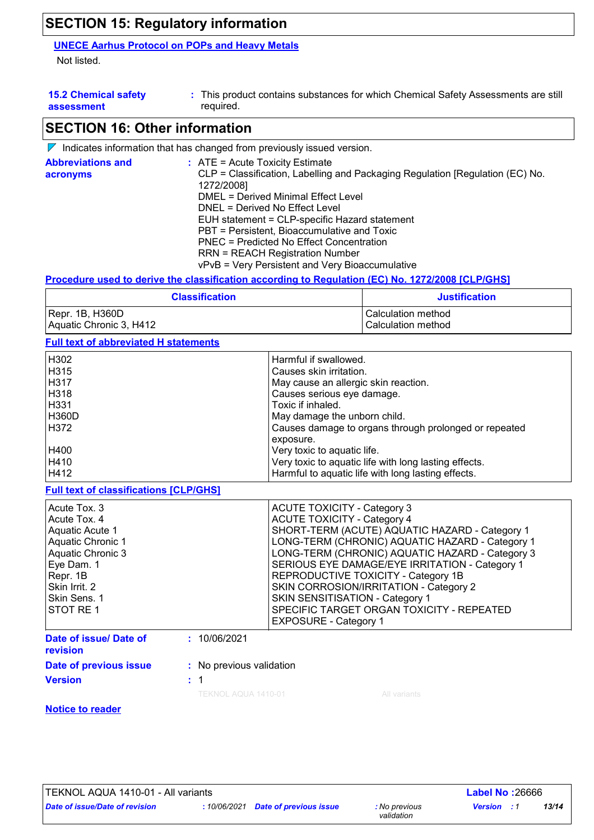## **SECTION 15: Regulatory information**

#### **UNECE Aarhus Protocol on POPs and Heavy Metals**

Not listed.

| <b>15.2 Chemical safety</b> | This product contains substances for which Chemical Safety Assessments are still |
|-----------------------------|----------------------------------------------------------------------------------|
| assessment                  | reguired.                                                                        |

## **SECTION 16: Other information**

|                                      | $\nabla$ Indicates information that has changed from previously issued version.                                                                                                                                                                                                                                                                                                                                                                           |
|--------------------------------------|-----------------------------------------------------------------------------------------------------------------------------------------------------------------------------------------------------------------------------------------------------------------------------------------------------------------------------------------------------------------------------------------------------------------------------------------------------------|
| <b>Abbreviations and</b><br>acronyms | $:$ ATE = Acute Toxicity Estimate<br>CLP = Classification, Labelling and Packaging Regulation [Regulation (EC) No.<br>1272/2008]<br><b>DMEL = Derived Minimal Effect Level</b><br>DNEL = Derived No Effect Level<br>EUH statement = CLP-specific Hazard statement<br>PBT = Persistent, Bioaccumulative and Toxic<br>PNEC = Predicted No Effect Concentration<br><b>RRN = REACH Registration Number</b><br>vPvB = Very Persistent and Very Bioaccumulative |
|                                      |                                                                                                                                                                                                                                                                                                                                                                                                                                                           |

**Procedure used to derive the classification according to Regulation (EC) No. 1272/2008 [CLP/GHS]**

| <b>Classification</b>   | <b>Justification</b> |
|-------------------------|----------------------|
| Repr. 1B, H360D         | l Calculation method |
| Aquatic Chronic 3, H412 | l Calculation method |

#### **Full text of abbreviated H statements**

| H302             | Harmful if swallowed.                                 |
|------------------|-------------------------------------------------------|
| H315             | Causes skin irritation.                               |
| l H317           | May cause an allergic skin reaction.                  |
| H318             | Causes serious eye damage.                            |
| H331             | Toxic if inhaled.                                     |
| <b>H360D</b>     | May damage the unborn child.                          |
| H <sub>372</sub> | Causes damage to organs through prolonged or repeated |
|                  | exposure.                                             |
| H400             | Very toxic to aquatic life.                           |
| H410             | Very toxic to aquatic life with long lasting effects. |
| H412             | Harmful to aquatic life with long lasting effects.    |

**Full text of classifications [CLP/GHS]**

| Acute Tox, 3<br>Acute Tox, 4<br>Aquatic Acute 1<br>Aquatic Chronic 1<br>Aquatic Chronic 3<br>Eye Dam. 1<br>Repr. 1B<br>Skin Irrit. 2<br> Skin Sens. 1<br><b>STOT RE1</b> |                          | <b>ACUTE TOXICITY - Category 3</b><br><b>ACUTE TOXICITY - Category 4</b><br>SHORT-TERM (ACUTE) AQUATIC HAZARD - Category 1<br>LONG-TERM (CHRONIC) AQUATIC HAZARD - Category 1<br>LONG-TERM (CHRONIC) AQUATIC HAZARD - Category 3<br>SERIOUS EYE DAMAGE/EYE IRRITATION - Category 1<br>REPRODUCTIVE TOXICITY - Category 1B<br>SKIN CORROSION/IRRITATION - Category 2<br>SKIN SENSITISATION - Category 1<br>SPECIFIC TARGET ORGAN TOXICITY - REPEATED<br><b>EXPOSURE - Category 1</b> |
|--------------------------------------------------------------------------------------------------------------------------------------------------------------------------|--------------------------|-------------------------------------------------------------------------------------------------------------------------------------------------------------------------------------------------------------------------------------------------------------------------------------------------------------------------------------------------------------------------------------------------------------------------------------------------------------------------------------|
| Date of issue/ Date of<br>revision                                                                                                                                       | : 10/06/2021             |                                                                                                                                                                                                                                                                                                                                                                                                                                                                                     |
| Date of previous issue                                                                                                                                                   | : No previous validation |                                                                                                                                                                                                                                                                                                                                                                                                                                                                                     |

| <u>revision</u>        |                     |
|------------------------|---------------------|
| Date of previous issue | : No previous valid |
| <b>Version</b>         | : 1                 |

TEKNOL AQUA 1410-01 All variants

#### **Notice to reader**